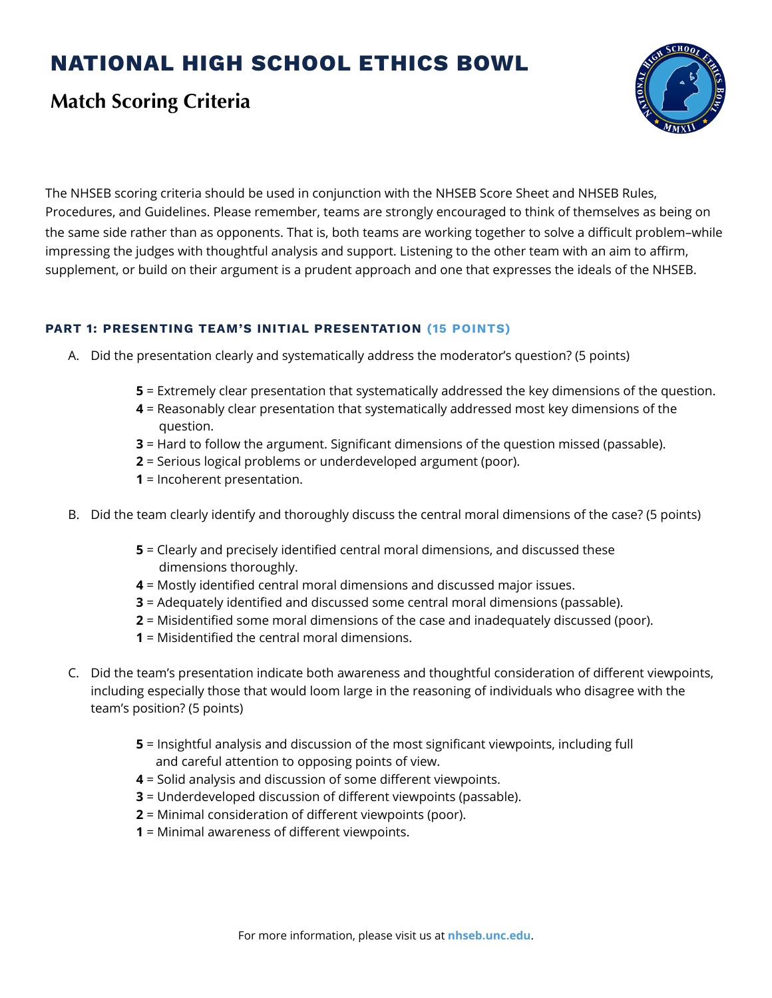# **NATIONAL HIGH SCHOOL ETHICS BOWL**

## **Match Scoring Criteria**



The NHSEB scoring criteria should be used in conjunction with the NHSEB Score Sheet and NHSEB Rules, Procedures, and Guidelines. Please remember, teams are strongly encouraged to think of themselves as being on the same side rather than as opponents. That is, both teams are working together to solve a difficult problem–while impressing the judges with thoughtful analysis and support. Listening to the other team with an aim to affirm, supplement, or build on their argument is a prudent approach and one that expresses the ideals of the NHSEB.

### **PART 1: PRESENTING TEAM'S INITIAL PRESENTATION (15 POINTS)**

- A. Did the presentation clearly and systematically address the moderator's question? (5 points)
	- **5** = Extremely clear presentation that systematically addressed the key dimensions of the question.
	- **4** = Reasonably clear presentation that systematically addressed most key dimensions of the question.
	- **3** = Hard to follow the argument. Significant dimensions of the question missed (passable).
	- **2** = Serious logical problems or underdeveloped argument (poor).
	- **1** = Incoherent presentation.
- B. Did the team clearly identify and thoroughly discuss the central moral dimensions of the case? (5 points)
	- **5** = Clearly and precisely identified central moral dimensions, and discussed these dimensions thoroughly.
	- **4** = Mostly identified central moral dimensions and discussed major issues.
	- **3** = Adequately identified and discussed some central moral dimensions (passable).
	- **2** = Misidentified some moral dimensions of the case and inadequately discussed (poor).
	- **1** = Misidentified the central moral dimensions.
- C. Did the team's presentation indicate both awareness and thoughtful consideration of different viewpoints, including especially those that would loom large in the reasoning of individuals who disagree with the team's position? (5 points)
	- **5** = Insightful analysis and discussion of the most significant viewpoints, including full and careful attention to opposing points of view.
	- **4** = Solid analysis and discussion of some different viewpoints.
	- **3** = Underdeveloped discussion of different viewpoints (passable).
	- **2** = Minimal consideration of different viewpoints (poor).
	- **1** = Minimal awareness of different viewpoints.